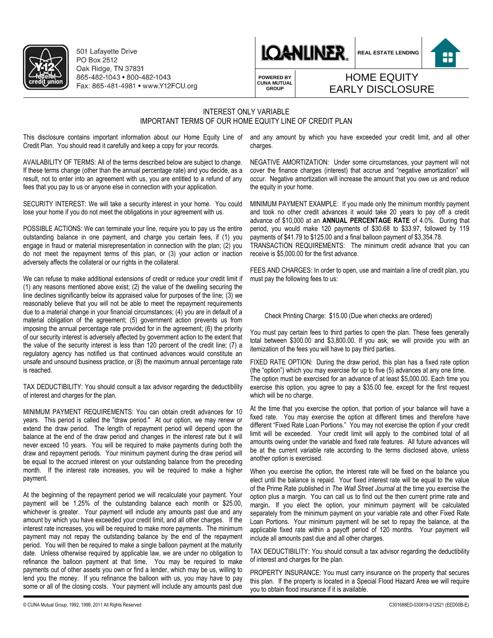

501 Lafavette Drive PO Box 2512 Oak Ridge, TN 37831 865-482-1043 · 800-482-1043 Fax: 865-481-4981 • www.Y12FCU.org



**REAL ESTATE LENDING**



**POWERED BY CUNA MUTUAL GROUP**

## HOME EQUITY EARLY DISCLOSURE

## INTEREST ONLY VARIABLE IMPORTANT TERMS OF OUR HOME EQUITY LINE OF CREDIT PLAN

This disclosure contains important information about our Home Equity Line of and any amount by which you have exceeded your credit limit, and all other Credit Plan. You should read it carefully and keep a copy for your records.

AVAILABILITY OF TERMS: All of the terms described below are subject to change. If these terms change (other than the annual percentage rate) and you decide, as a result, not to enter into an agreement with us, you are entitled to a refund of any fees that you pay to us or anyone else in connection with your application.

SECURITY INTEREST: We will take a security interest in your home. You could lose your home if you do not meet the obligations in your agreement with us.

POSSIBLE ACTIONS: We can terminate your line, require you to pay us the entire outstanding balance in one payment, and charge you certain fees, if (1) you engage in fraud or material misrepresentation in connection with the plan; (2) you do not meet the repayment terms of this plan, or (3) your action or inaction adversely affects the collateral or our rights in the collateral.

We can refuse to make additional extensions of credit or reduce your credit limit if (1) any reasons mentioned above exist; (2) the value of the dwelling securing the line declines significantly below its appraised value for purposes of the line; (3) we reasonably believe that you will not be able to meet the repayment requirements due to a material change in your financial circumstances; (4) you are in default of a material obligation of the agreement; (5) government action prevents us from imposing the annual percentage rate provided for in the agreement; (6) the priority of our security interest is adversely affected by government action to the extent that the value of the security interest is less than 120 percent of the credit line; (7) a regulatory agency has notified us that continued advances would constitute an unsafe and unsound business practice, or (8) the maximum annual percentage rate is reached.

TAX DEDUCTIBILITY: You should consult a tax advisor regarding the deductibility of interest and charges for the plan.

MINIMUM PAYMENT REQUIREMENTS: You can obtain credit advances for 10 years. This period is called the "draw period." At our option, we may renew or extend the draw period. The length of repayment period will depend upon the balance at the end of the draw period and changes in the interest rate but it will never exceed 10 years. You will be required to make payments during both the draw and repayment periods. Your minimum payment during the draw period will be equal to the accrued interest on your outstanding balance from the preceding month. If the interest rate increases, you will be required to make a higher payment.

At the beginning of the repayment period we will recalculate your payment. Your payment will be 1.25% of the outstanding balance each month or \$25.00, whichever is greater. Your payment will include any amounts past due and any amount by which you have exceeded your credit limit, and all other charges. If the interest rate increases, you will be required to make more payments. The minimum payment may not repay the outstanding balance by the end of the repayment period. You will then be required to make a single balloon payment at the maturity date. Unless otherwise required by applicable law, we are under no obligation to refinance the balloon payment at that time. You may be required to make payments out of other assets you own or find a lender, which may be us, willing to lend you the money. If you refinance the balloon with us, you may have to pay some or all of the closing costs. Your payment will include any amounts past due

charges.

NEGATIVE AMORTIZATION: Under some circumstances, your payment will not cover the finance charges (interest) that accrue and "negative amortization" will occur. Negative amortization will increase the amount that you owe us and reduce the equity in your home.

MINIMUM PAYMENT EXAMPLE: If you made only the minimum monthly payment and took no other credit advances it would take 20 years to pay off a credit advance of \$10,000 at an **ANNUAL PERCENTAGE RATE** of 4.0%. During that period, you would make 120 payments of \$30.68 to \$33.97, followed by 119 payments of \$41.79 to \$125.00 and a final balloon payment of \$3,354.78. TRANSACTION REQUIREMENTS: The minimum credit advance that you can receive is \$5,000.00 for the first advance.

FEES AND CHARGES: In order to open, use and maintain a line of credit plan, you must pay the following fees to us:

## Check Printing Charge: \$15.00 (Due when checks are ordered)

You must pay certain fees to third parties to open the plan. These fees generally total between \$300.00 and \$3,800.00. If you ask, we will provide you with an itemization of the fees you will have to pay third parties.

FIXED RATE OPTION: During the draw period, this plan has a fixed rate option (the "option") which you may exercise for up to five (5) advances at any one time. The option must be exercised for an advance of at least \$5,000.00. Each time you exercise this option, you agree to pay a \$35.00 fee, except for the first request which will be no charge.

At the time that you exercise the option, that portion of your balance will have a fixed rate. You may exercise the option at different times and therefore have different "Fixed Rate Loan Portions." You may not exercise the option if your credit limit will be exceeded. Your credit limit will apply to the combined total of all amounts owing under the variable and fixed rate features. All future advances will be at the current variable rate according to the terms disclosed above, unless another option is exercised.

When you exercise the option, the interest rate will be fixed on the balance you elect until the balance is repaid. Your fixed interest rate will be equal to the value of the Prime Rate published in *The Wall Street Journal* at the time you exercise the option plus a margin. You can call us to find out the then current prime rate and margin**.** If you elect the option, your minimum payment will be calculated separately from the minimum payment on your variable rate and other Fixed Rate Loan Portions. Your minimum payment will be set to repay the balance, at the applicable fixed rate within a payoff period of 120 months. Your payment will include all amounts past due and all other charges.

TAX DEDUCTIBILITY: You should consult a tax advisor regarding the deductibility of interest and charges for the plan.

PROPERTY INSURANCE: You must carry insurance on the property that secures this plan. If the property is located in a Special Flood Hazard Area we will require you to obtain flood insurance if it is available.